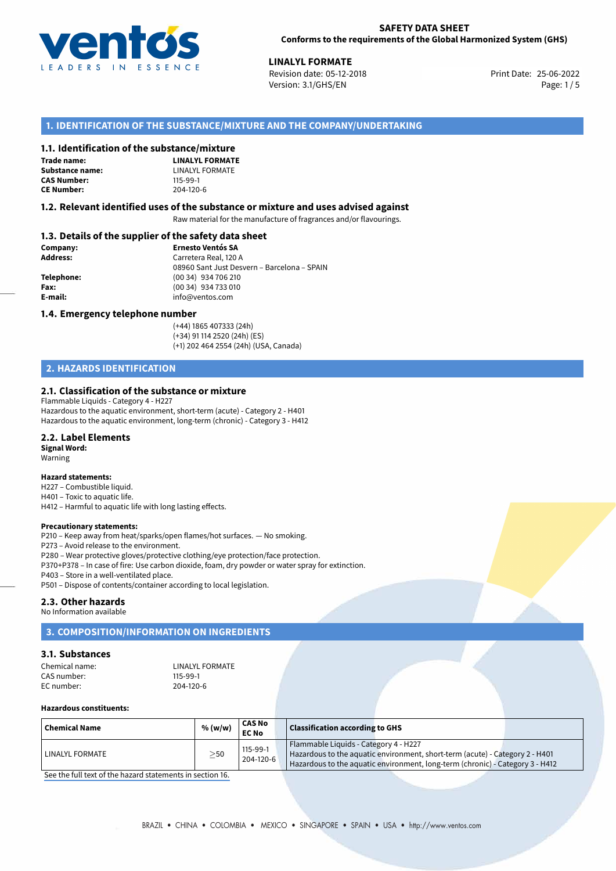

## **SAFETY DATA SHEET Conforms to the requirements of the Global Harmonized System (GHS)**

25-06-2022 **LINALYL FORMATE** Revision date: 05-12-2018 Print Date: Version: 3.1/GHS/EN Page: 1 / 5

# **1. IDENTIFICATION OF THE SUBSTANCE/MIXTURE AND THE COMPANY/UNDERTAKING**

## **1.1. Identification of the substance/mixture**

**Trade name: Substance name:** LINALYL FORMATE<br> **CAS Number:** 115-99-1 **CAS Number:** 115-99-1<br> **CE Number:** 204-120-6 **CE Number:** 204-120-6

**LINALYL FORMATE**

## **1.2. Relevant identified uses of the substance or mixture and uses advised against**

Raw material for the manufacture of fragrances and/or flavourings.

# **1.3. Details of the supplier of the safety data sheet**

| Company:   | <b>Ernesto Ventós SA</b>                    |
|------------|---------------------------------------------|
| Address:   | Carretera Real, 120 A                       |
|            | 08960 Sant Just Desvern - Barcelona - SPAIN |
| Telephone: | (00 34) 934 706 210                         |
| Fax:       | (00 34) 934 733 010                         |
| E-mail:    | info@ventos.com                             |
|            |                                             |

#### **1.4. Emergency telephone number**

(+44) 1865 407333 (24h) (+34) 91 114 2520 (24h) (ES) (+1) 202 464 2554 (24h) (USA, Canada)

# **2. HAZARDS IDENTIFICATION**

## **2.1. Classification of the substance or mixture**

Flammable Liquids - Category 4 - H227 Hazardous to the aquatic environment, short-term (acute) - Category 2 - H401 Hazardous to the aquatic environment, long-term (chronic) - Category 3 - H412

#### **2.2. Label Elements**

**Signal Word:** Warning

#### **Hazard statements:**

- H227 Combustible liquid.
- H401 Toxic to aquatic life.
- H412 Harmful to aquatic life with long lasting effects.

## **Precautionary statements:**

P210 – Keep away from heat/sparks/open flames/hot surfaces. — No smoking.

P273 – Avoid release to the environment.

- P280 Wear protective gloves/protective clothing/eye protection/face protection.
- P370+P378 In case of fire: Use carbon dioxide, foam, dry powder or water spray for extinction.

P403 – Store in a well-ventilated place.

P501 – Dispose of contents/container according to local legislation.

## **2.3. Other hazards**

No Information available

# **3. COMPOSITION/INFORMATION ON INGREDIENTS**

## **3.1. Substances**

| Chemical name: | LINALYL FORMATE |
|----------------|-----------------|
| CAS number:    | 115-99-1        |
| EC number:     | 204-120-6       |

## **Hazardous constituents:**

| <b>Chemical Name</b> | % (w/w)   | <b>CAS No</b><br><b>EC No</b> | <b>Classification according to GHS</b>                                                                                                                                                                 |
|----------------------|-----------|-------------------------------|--------------------------------------------------------------------------------------------------------------------------------------------------------------------------------------------------------|
| LINALYL FORMATE      | $\geq$ 50 | $115-99-1$<br>204-120-6       | Flammable Liquids - Category 4 - H227<br>Hazardous to the aquatic environment, short-term (acute) - Category 2 - H401<br>Hazardous to the aquatic environment, long-term (chronic) - Category 3 - H412 |

[See the full text of the hazard statements in section 16.](#page--1-0)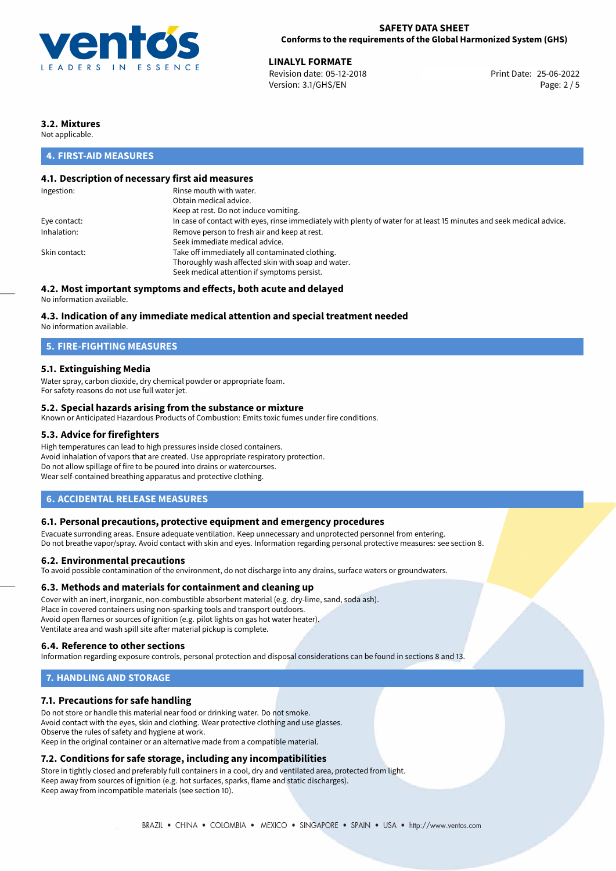

## **SAFETY DATA SHEET Conforms to the requirements of the Global Harmonized System (GHS)**

**LINALYL FORMATE**<br>
Revision date: 05-12-2018<br> **Print Date: 25-06-2022** Revision date: 05-12-2018 Version: 3.1/GHS/EN Page: 2 / 5

# **3.2. Mixtures**

Not applicable.

# **4. FIRST-AID MEASURES**

# **4.1. Description of necessary first aid measures**

| Ingestion:    | Rinse mouth with water.                                                                                               |
|---------------|-----------------------------------------------------------------------------------------------------------------------|
|               | Obtain medical advice.                                                                                                |
|               | Keep at rest. Do not induce vomiting.                                                                                 |
| Eye contact:  | In case of contact with eyes, rinse immediately with plenty of water for at least 15 minutes and seek medical advice. |
| Inhalation:   | Remove person to fresh air and keep at rest.                                                                          |
|               | Seek immediate medical advice.                                                                                        |
| Skin contact: | Take off immediately all contaminated clothing.                                                                       |
|               | Thoroughly wash affected skin with soap and water.                                                                    |
|               | Seek medical attention if symptoms persist.                                                                           |
|               |                                                                                                                       |

# **4.2. Most important symptoms and effects, both acute and delayed**

No information available.

## **4.3. Indication of any immediate medical attention and special treatment needed**

No information available.

# **5. FIRE-FIGHTING MEASURES**

## **5.1. Extinguishing Media**

Water spray, carbon dioxide, dry chemical powder or appropriate foam. For safety reasons do not use full water jet.

## **5.2. Special hazards arising from the substance or mixture**

Known or Anticipated Hazardous Products of Combustion: Emits toxic fumes under fire conditions.

## **5.3. Advice for firefighters**

High temperatures can lead to high pressures inside closed containers. Avoid inhalation of vapors that are created. Use appropriate respiratory protection. Do not allow spillage of fire to be poured into drains or watercourses. Wear self-contained breathing apparatus and protective clothing.

## **6. ACCIDENTAL RELEASE MEASURES**

## **6.1. Personal precautions, protective equipment and emergency procedures**

Evacuate surronding areas. Ensure adequate ventilation. Keep unnecessary and unprotected personnel from entering. Do not breathe vapor/spray. Avoid contact with skin and eyes. Information regarding personal protective measures: see section 8.

#### **6.2. Environmental precautions**

To avoid possible contamination of the environment, do not discharge into any drains, surface waters or groundwaters.

## **6.3. Methods and materials for containment and cleaning up**

Cover with an inert, inorganic, non-combustible absorbent material (e.g. dry-lime, sand, soda ash). Place in covered containers using non-sparking tools and transport outdoors. Avoid open flames or sources of ignition (e.g. pilot lights on gas hot water heater). Ventilate area and wash spill site after material pickup is complete.

## **6.4. Reference to other sections**

Information regarding exposure controls, personal protection and disposal considerations can be found in sections 8 and 13.

# **7. HANDLING AND STORAGE**

## **7.1. Precautions for safe handling**

Do not store or handle this material near food or drinking water. Do not smoke. Avoid contact with the eyes, skin and clothing. Wear protective clothing and use glasses. Observe the rules of safety and hygiene at work. Keep in the original container or an alternative made from a compatible material.

# **7.2. Conditions for safe storage, including any incompatibilities**

Store in tightly closed and preferably full containers in a cool, dry and ventilated area, protected from light. Keep away from sources of ignition (e.g. hot surfaces, sparks, flame and static discharges). Keep away from incompatible materials (see section 10).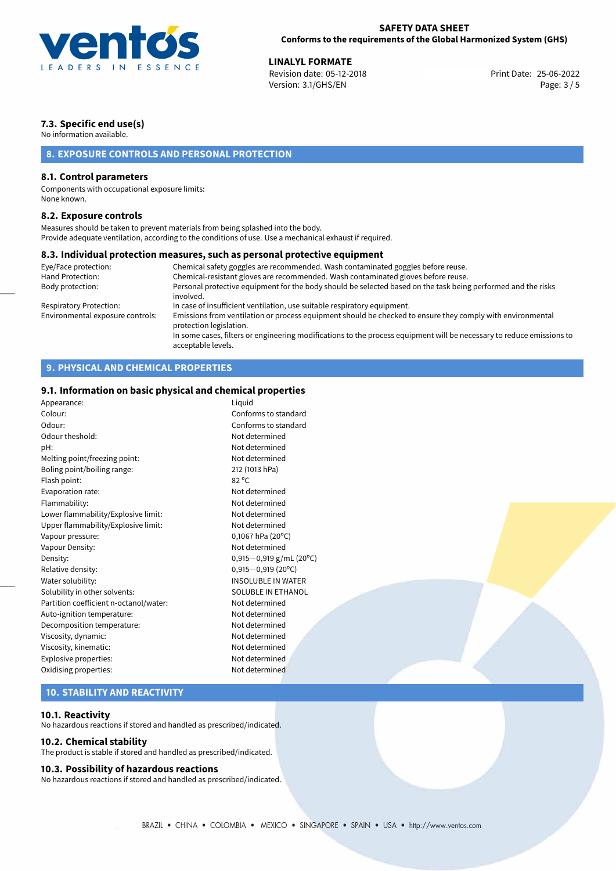

25-06-2022 **LINALYL FORMATE** Revision date: 05-12-2018 Print Date: Version: 3.1/GHS/EN Page: 3 / 5

# **7.3. Specific end use(s)**

No information available.

# **8. EXPOSURE CONTROLS AND PERSONAL PROTECTION**

## **8.1. Control parameters**

Components with occupational exposure limits: None known.

## **8.2. Exposure controls**

Measures should be taken to prevent materials from being splashed into the body. Provide adequate ventilation, according to the conditions of use. Use a mechanical exhaust if required.

## **8.3. Individual protection measures, such as personal protective equipment**

| Eye/Face protection:             | Chemical safety goggles are recommended. Wash contaminated goggles before reuse.                                                            |
|----------------------------------|---------------------------------------------------------------------------------------------------------------------------------------------|
| Hand Protection:                 | Chemical-resistant gloves are recommended. Wash contaminated gloves before reuse.                                                           |
| Body protection:                 | Personal protective equipment for the body should be selected based on the task being performed and the risks<br>involved.                  |
| Respiratory Protection:          | In case of insufficient ventilation, use suitable respiratory equipment.                                                                    |
| Environmental exposure controls: | Emissions from ventilation or process equipment should be checked to ensure they comply with environmental<br>protection legislation.       |
|                                  | In some cases, filters or engineering modifications to the process equipment will be necessary to reduce emissions to<br>acceptable levels. |

# **9. PHYSICAL AND CHEMICAL PROPERTIES**

# **9.1. Information on basic physical and chemical properties**

| Appearance:                            | Liquid                    |  |
|----------------------------------------|---------------------------|--|
| Colour:                                | Conforms to standard      |  |
| Odour:                                 | Conforms to standard      |  |
| Odour theshold:                        | Not determined            |  |
| pH:                                    | Not determined            |  |
| Melting point/freezing point:          | Not determined            |  |
| Boling point/boiling range:            | 212 (1013 hPa)            |  |
| Flash point:                           | $82^{\circ}$ C            |  |
| Evaporation rate:                      | Not determined            |  |
| Flammability:                          | Not determined            |  |
| Lower flammability/Explosive limit:    | Not determined            |  |
| Upper flammability/Explosive limit:    | Not determined            |  |
| Vapour pressure:                       | $0,1067$ hPa (20°C)       |  |
| Vapour Density:                        | Not determined            |  |
| Density:                               | $0,915-0,919$ g/mL (20°C) |  |
| Relative density:                      | $0,915 - 0,919$ (20°C)    |  |
| Water solubility:                      | <b>INSOLUBLE IN WATER</b> |  |
| Solubility in other solvents:          | SOLUBLE IN ETHANOL        |  |
| Partition coefficient n-octanol/water: | Not determined            |  |
| Auto-ignition temperature:             | Not determined            |  |
| Decomposition temperature:             | Not determined            |  |
| Viscosity, dynamic:                    | Not determined            |  |
| Viscosity, kinematic:                  | Not determined            |  |
| Explosive properties:                  | Not determined            |  |
| Oxidising properties:                  | Not determined            |  |
|                                        |                           |  |

# **10. STABILITY AND REACTIVITY**

## **10.1. Reactivity**

No hazardous reactions if stored and handled as prescribed/indicated.

## **10.2. Chemical stability**

The product is stable if stored and handled as prescribed/indicated.

#### **10.3. Possibility of hazardous reactions**

No hazardous reactions if stored and handled as prescribed/indicated.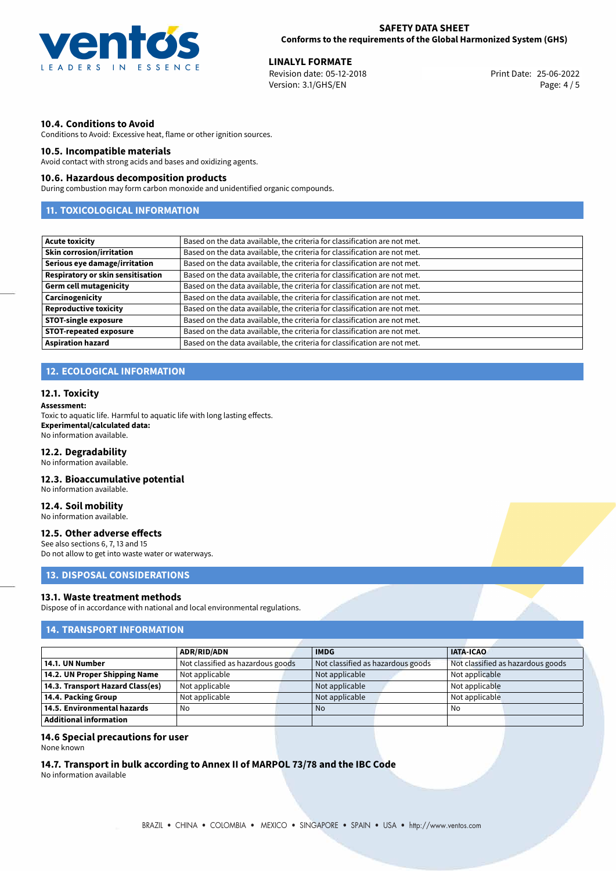

25-06-2022 **LINALYL FORMATE** Revision date: 05-12-2018 Print Date: Version: 3.1/GHS/EN Page: 4 / 5

## **10.4. Conditions to Avoid**

Conditions to Avoid: Excessive heat, flame or other ignition sources.

## **10.5. Incompatible materials**

Avoid contact with strong acids and bases and oxidizing agents.

## **10.6. Hazardous decomposition products**

During combustion may form carbon monoxide and unidentified organic compounds.

# **11. TOXICOLOGICAL INFORMATION**

| <b>Acute toxicity</b>                    | Based on the data available, the criteria for classification are not met. |
|------------------------------------------|---------------------------------------------------------------------------|
| <b>Skin corrosion/irritation</b>         | Based on the data available, the criteria for classification are not met. |
| Serious eye damage/irritation            | Based on the data available, the criteria for classification are not met. |
| <b>Respiratory or skin sensitisation</b> | Based on the data available, the criteria for classification are not met. |
| <b>Germ cell mutagenicity</b>            | Based on the data available, the criteria for classification are not met. |
| Carcinogenicity                          | Based on the data available, the criteria for classification are not met. |
| <b>Reproductive toxicity</b>             | Based on the data available, the criteria for classification are not met. |
| <b>STOT-single exposure</b>              | Based on the data available, the criteria for classification are not met. |
| <b>STOT-repeated exposure</b>            | Based on the data available, the criteria for classification are not met. |
| <b>Aspiration hazard</b>                 | Based on the data available, the criteria for classification are not met. |

# **12. ECOLOGICAL INFORMATION**

#### **12.1. Toxicity**

#### **Assessment:**

Toxic to aquatic life. Harmful to aquatic life with long lasting effects. **Experimental/calculated data:** No information available.

#### **12.2. Degradability**

No information available.

## **12.3. Bioaccumulative potential**

No information available.

# **12.4. Soil mobility**

No information available.

### **12.5. Other adverse effects**

See also sections 6, 7, 13 and 15 Do not allow to get into waste water or waterways.

## **13. DISPOSAL CONSIDERATIONS**

#### **13.1. Waste treatment methods**

Dispose of in accordance with national and local environmental regulations.

# **14. TRANSPORT INFORMATION**

|                                  | <b>ADR/RID/ADN</b>                |                | <b>IMDG</b>                       |  | <b>IATA-ICAO</b>                  |  |
|----------------------------------|-----------------------------------|----------------|-----------------------------------|--|-----------------------------------|--|
| 14.1. UN Number                  | Not classified as hazardous goods |                | Not classified as hazardous goods |  | Not classified as hazardous goods |  |
| 14.2. UN Proper Shipping Name    | Not applicable                    | Not applicable |                                   |  | Not applicable                    |  |
| 14.3. Transport Hazard Class(es) | Not applicable                    |                | Not applicable                    |  | Not applicable                    |  |
| 14.4. Packing Group              | Not applicable                    |                | Not applicable                    |  | Not applicable                    |  |
| 14.5. Environmental hazards      | No                                |                | <b>No</b>                         |  | No                                |  |
| Additional information           |                                   |                |                                   |  |                                   |  |

## **14.6 Special precautions for user**

None known

# **14.7. Transport in bulk according to Annex II of MARPOL 73/78 and the IBC Code**

No information available